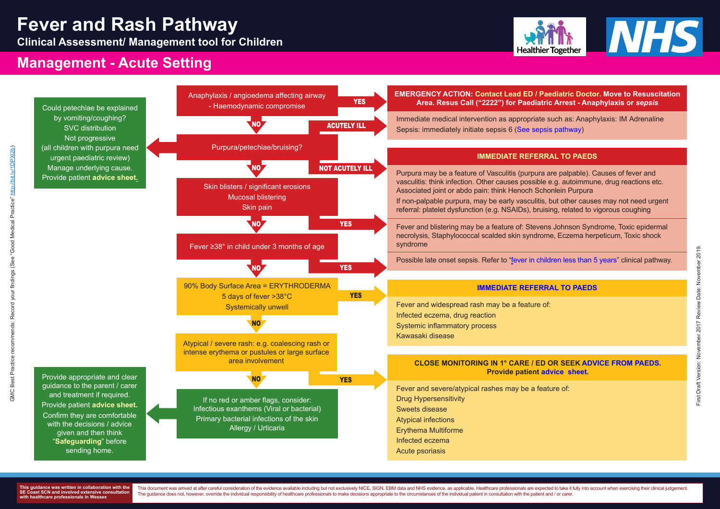

**Clinical Assessment/ Management tool for Children**



## **Management - Acute Setting**

**This guidance was written in collaboration with the SEXE COMA AND INVOLUTE EXTENSIVE CONSULTATION with healthcare professionals in Wessex**

This document was arrived at after careful consideration of the evidence available including but not exclusively NICE, SIGN, EBM data and NHS evidence, as applicable. Healthcare professionals are expected to take it fully The guidance does not, however, override the individual responsibility of healthcare professionals to make decisions appropriate to the circumstances of the individual patient in consultation with the patient and / or care

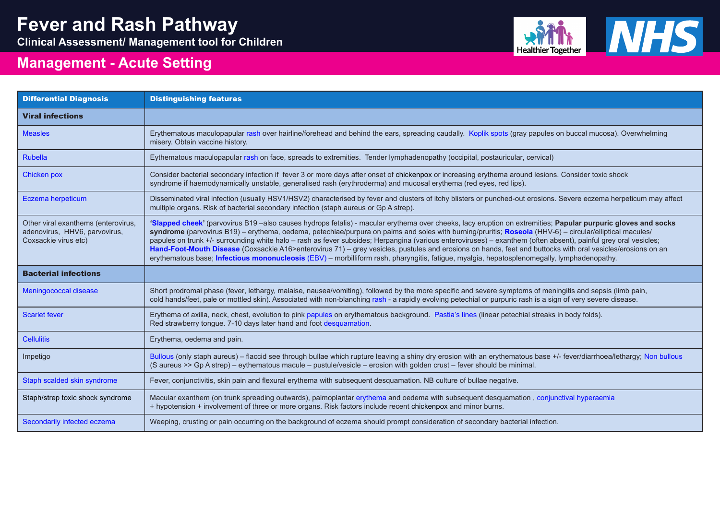| <b>Differential Diagnosis</b>                                                                | <b>Distinguishing features</b>                                                                                                                                                                                                                                                                                                                                                                                                                                                                                                                                                                                                                           |
|----------------------------------------------------------------------------------------------|----------------------------------------------------------------------------------------------------------------------------------------------------------------------------------------------------------------------------------------------------------------------------------------------------------------------------------------------------------------------------------------------------------------------------------------------------------------------------------------------------------------------------------------------------------------------------------------------------------------------------------------------------------|
| <b>Viral infections</b>                                                                      |                                                                                                                                                                                                                                                                                                                                                                                                                                                                                                                                                                                                                                                          |
| <b>Measles</b>                                                                               | Erythematous maculopapular rash over hairline/forehead and behind the ears, spreading caudally. Koplik spots (gray papules o<br>misery. Obtain vaccine history.                                                                                                                                                                                                                                                                                                                                                                                                                                                                                          |
| <b>Rubella</b>                                                                               | Eythematous maculopapular rash on face, spreads to extremities. Tender lymphadenopathy (occipital, postauricular, cervical)                                                                                                                                                                                                                                                                                                                                                                                                                                                                                                                              |
| <b>Chicken pox</b>                                                                           | Consider bacterial secondary infection if fever 3 or more days after onset of chickenpox or increasing erythema around lesions.<br>syndrome if haemodynamically unstable, generalised rash (erythroderma) and mucosal erythema (red eyes, red lips).                                                                                                                                                                                                                                                                                                                                                                                                     |
| Eczema herpeticum                                                                            | Disseminated viral infection (usually HSV1/HSV2) characterised by fever and clusters of itchy blisters or punched-out erosions.<br>multiple organs. Risk of bacterial secondary infection (staph aureus or Gp A strep).                                                                                                                                                                                                                                                                                                                                                                                                                                  |
| Other viral exanthems (enterovirus,<br>adenovirus, HHV6, parvovirus,<br>Coxsackie virus etc) | 'Slapped cheek' (parvovirus B19-also causes hydrops fetalis) - macular erythema over cheeks, lacy eruption on extremities; P<br>syndrome (parvovirus B19) – erythema, oedema, petechiae/purpura on palms and soles with burning/pruritis; Roseola (HHV-6)<br>papules on trunk +/- surrounding white halo - rash as fever subsides; Herpangina (various enteroviruses) - exanthem (often abs<br>Hand-Foot-Mouth Disease (Coxsackie A16>enterovirus 71) – grey vesicles, pustules and erosions on hands, feet and buttocks<br>erythematous base; Infectious mononucleosis (EBV) - morbilliform rash, pharyngitis, fatigue, myalgia, hepatosplenomegally, I |
| <b>Bacterial infections</b>                                                                  |                                                                                                                                                                                                                                                                                                                                                                                                                                                                                                                                                                                                                                                          |
| <b>Meningococcal disease</b>                                                                 | Short prodromal phase (fever, lethargy, malaise, nausea/vomiting), followed by the more specific and severe symptoms of menir<br>cold hands/feet, pale or mottled skin). Associated with non-blanching rash - a rapidly evolving petechial or purpuric rash is a sigr                                                                                                                                                                                                                                                                                                                                                                                    |
| <b>Scarlet fever</b>                                                                         | Erythema of axilla, neck, chest, evolution to pink papules on erythematous background. Pastia's lines (linear petechial streaks in<br>Red strawberry tongue. 7-10 days later hand and foot desquamation.                                                                                                                                                                                                                                                                                                                                                                                                                                                 |
| <b>Cellulitis</b>                                                                            | Erythema, oedema and pain.                                                                                                                                                                                                                                                                                                                                                                                                                                                                                                                                                                                                                               |
| Impetigo                                                                                     | Bullous (only staph aureus) – flaccid see through bullae which rupture leaving a shiny dry erosion with an erythematous base +/-<br>(S aureus >> Gp A strep) – eythematous macule – pustule/vesicle – erosion with golden crust – fever should be minimal.                                                                                                                                                                                                                                                                                                                                                                                               |
| Staph scalded skin syndrome                                                                  | Fever, conjunctivitis, skin pain and flexural erythema with subsequent desquamation. NB culture of bullae negative.                                                                                                                                                                                                                                                                                                                                                                                                                                                                                                                                      |
| Staph/strep toxic shock syndrome                                                             | Macular exanthem (on trunk spreading outwards), palmoplantar erythema and oedema with subsequent desquamation, conjund<br>+ hypotension + involvement of three or more organs. Risk factors include recent chickenpox and minor burns.                                                                                                                                                                                                                                                                                                                                                                                                                   |
| Secondarily infected eczema                                                                  | Weeping, crusting or pain occurring on the background of eczema should prompt consideration of secondary bacterial infection.                                                                                                                                                                                                                                                                                                                                                                                                                                                                                                                            |



les on buccal mucosa). Overwhelming alles on buccal mucosa). Overwhelming

ions. Consider toxic shock

ons. Severe eczema herpeticum may affect

**es; Papular purpuric gloves and socks HV-6) – circular/elliptical macules /** n absent), painful grey oral vesicles; tocks with oral vesicles/erosions on and ally, lymphadenopathy.

meningitis and sepsis (limb pain, meningitis and sepsis specific and severe sumptoms of meningitis and sepain, a sign of very severe disease.

aks in body folds).

se +/- fever/diarrhoea/lethargy; [Non bullous](https://www.what0-18.nhs.uk/application/files/8515/2719/1092/Non-bullous_impetigo.jpg)

njunctival hyperaemia

# **Fever and Rash Pathway**

**Clinical Assessment/ Management tool for Children**



## **Management - Acute Setting**